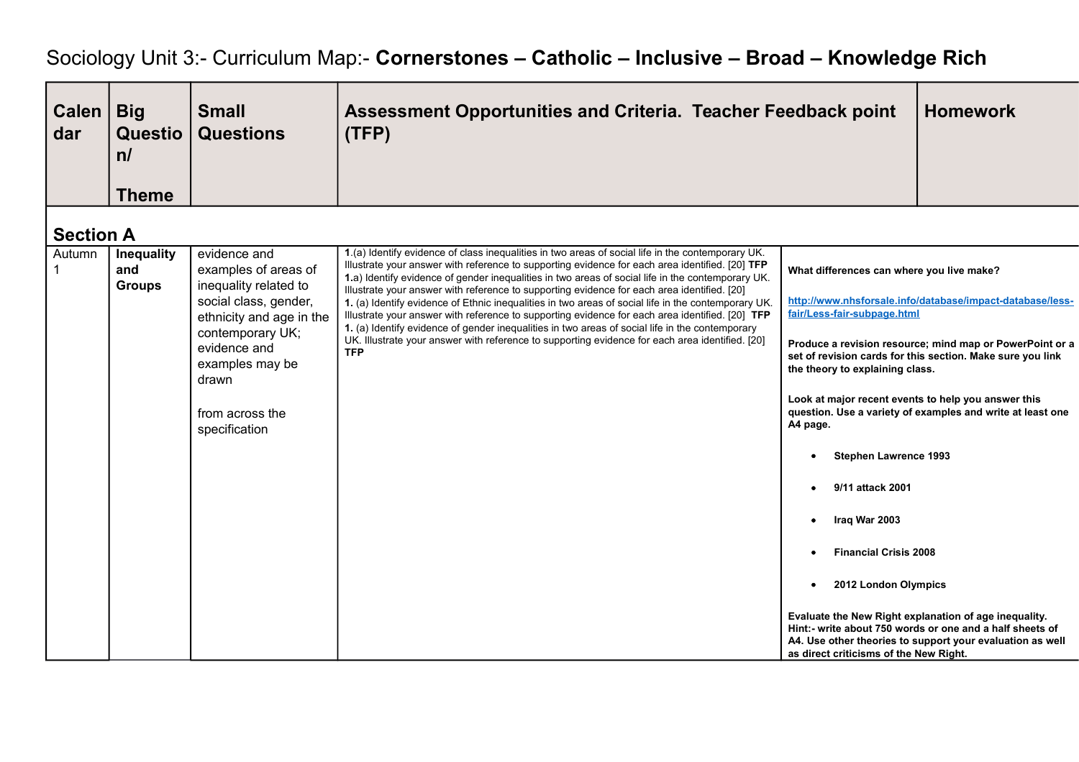## Sociology Unit 3:- Curriculum Map:- **Cornerstones – Catholic – Inclusive – Broad – Knowledge Rich**

| <b>Calen</b><br>dar | <b>Big</b><br><b>Questio</b><br>n/<br><b>Theme</b> | <b>Small</b><br><b>Questions</b>                                                                                                                                                                                       | Assessment Opportunities and Criteria. Teacher Feedback point<br>(TFP)                                                                                                                                                                                                                                                                                                                                                                                                                                                                                                                                                                                                                                                                                                                                                                 |                                                                                                                                                                                                                                                                                                               | <b>Homework</b>                                                                                                                                                                                                                                   |
|---------------------|----------------------------------------------------|------------------------------------------------------------------------------------------------------------------------------------------------------------------------------------------------------------------------|----------------------------------------------------------------------------------------------------------------------------------------------------------------------------------------------------------------------------------------------------------------------------------------------------------------------------------------------------------------------------------------------------------------------------------------------------------------------------------------------------------------------------------------------------------------------------------------------------------------------------------------------------------------------------------------------------------------------------------------------------------------------------------------------------------------------------------------|---------------------------------------------------------------------------------------------------------------------------------------------------------------------------------------------------------------------------------------------------------------------------------------------------------------|---------------------------------------------------------------------------------------------------------------------------------------------------------------------------------------------------------------------------------------------------|
|                     |                                                    |                                                                                                                                                                                                                        |                                                                                                                                                                                                                                                                                                                                                                                                                                                                                                                                                                                                                                                                                                                                                                                                                                        |                                                                                                                                                                                                                                                                                                               |                                                                                                                                                                                                                                                   |
| <b>Section A</b>    |                                                    |                                                                                                                                                                                                                        |                                                                                                                                                                                                                                                                                                                                                                                                                                                                                                                                                                                                                                                                                                                                                                                                                                        |                                                                                                                                                                                                                                                                                                               |                                                                                                                                                                                                                                                   |
| Autumn              | Inequality<br>and<br><b>Groups</b>                 | evidence and<br>examples of areas of<br>inequality related to<br>social class, gender,<br>ethnicity and age in the<br>contemporary UK;<br>evidence and<br>examples may be<br>drawn<br>from across the<br>specification | 1.(a) Identify evidence of class inequalities in two areas of social life in the contemporary UK.<br>Illustrate your answer with reference to supporting evidence for each area identified. [20] TFP<br>1.a) Identify evidence of gender inequalities in two areas of social life in the contemporary UK.<br>Illustrate your answer with reference to supporting evidence for each area identified. [20]<br>1. (a) Identify evidence of Ethnic inequalities in two areas of social life in the contemporary UK.<br>Illustrate your answer with reference to supporting evidence for each area identified. [20] TFP<br>1. (a) Identify evidence of gender inequalities in two areas of social life in the contemporary<br>UK. Illustrate your answer with reference to supporting evidence for each area identified. [20]<br><b>TFP</b> | What differences can where you live make?<br>fair/Less-fair-subpage.html<br>the theory to explaining class.<br>Look at major recent events to help you answer this<br>A4 page.<br><b>Stephen Lawrence 1993</b><br>9/11 attack 2001<br>Iraq War 2003<br>$\bullet$<br><b>Financial Crisis 2008</b><br>$\bullet$ | http://www.nhsforsale.info/database/impact-database/less-<br>Produce a revision resource; mind map or PowerPoint or a<br>set of revision cards for this section. Make sure you link<br>question. Use a variety of examples and write at least one |
|                     |                                                    |                                                                                                                                                                                                                        |                                                                                                                                                                                                                                                                                                                                                                                                                                                                                                                                                                                                                                                                                                                                                                                                                                        | 2012 London Olympics<br>$\bullet$<br>as direct criticisms of the New Right.                                                                                                                                                                                                                                   | Evaluate the New Right explanation of age inequality.<br>Hint:- write about 750 words or one and a half sheets of<br>A4. Use other theories to support your evaluation as well                                                                    |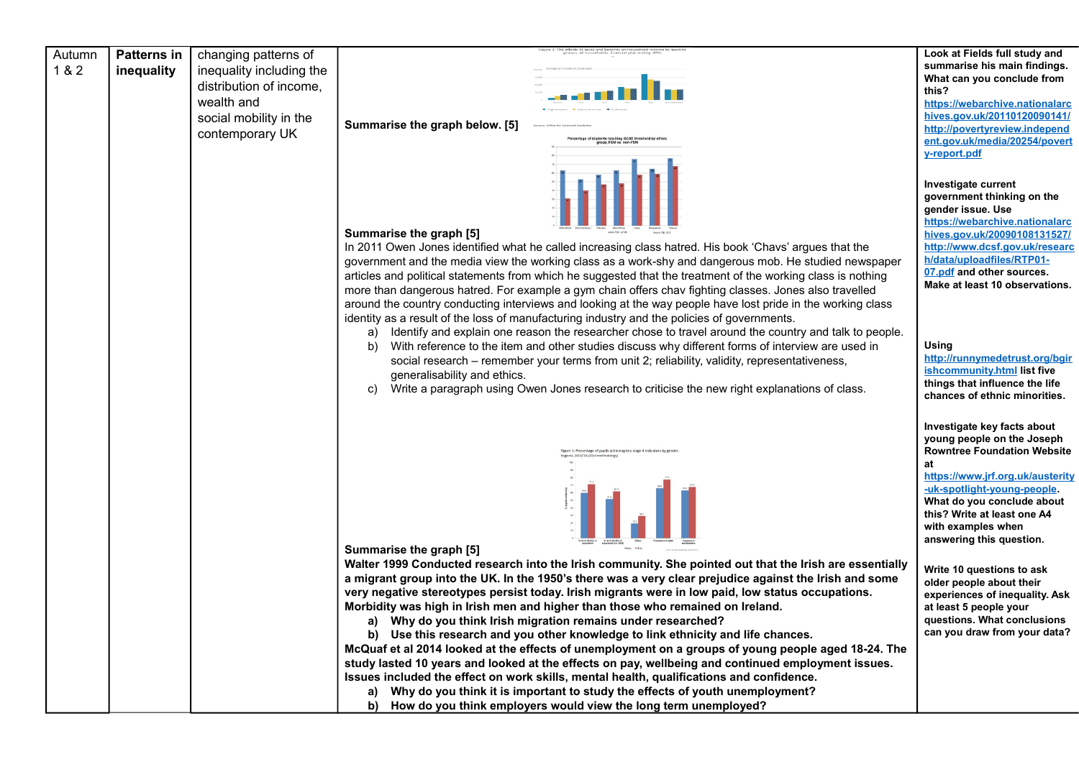| Autumn<br>1 & 2 | <b>Patterns in</b><br>inequality | changing patterns of<br>inequality including the<br>distribution of income,<br>wealth and<br>social mobility in the<br>contemporary UK | Summarise the graph below. [5]<br>e of students reaching GCSE threshold by ethr<br>group, FSM vs. non-FSM                                                                                                                                                                                                                                                                                                                                                                                                                                                                                                                                                                                                                                                                                                                                                                                                                                                                                                                                   | Look at Fields full study and<br>summarise his main findings.<br>What can you conclude from<br>this?<br>https://webarchive.nationalarc<br>hives.gov.uk/20110120090141/<br>http://povertyreview.independ<br>ent.gov.uk/media/20254/povert<br>y-report.pdf                                |
|-----------------|----------------------------------|----------------------------------------------------------------------------------------------------------------------------------------|---------------------------------------------------------------------------------------------------------------------------------------------------------------------------------------------------------------------------------------------------------------------------------------------------------------------------------------------------------------------------------------------------------------------------------------------------------------------------------------------------------------------------------------------------------------------------------------------------------------------------------------------------------------------------------------------------------------------------------------------------------------------------------------------------------------------------------------------------------------------------------------------------------------------------------------------------------------------------------------------------------------------------------------------|-----------------------------------------------------------------------------------------------------------------------------------------------------------------------------------------------------------------------------------------------------------------------------------------|
|                 |                                  |                                                                                                                                        | Summarise the graph [5]<br>In 2011 Owen Jones identified what he called increasing class hatred. His book 'Chavs' argues that the<br>government and the media view the working class as a work-shy and dangerous mob. He studied newspaper<br>articles and political statements from which he suggested that the treatment of the working class is nothing<br>more than dangerous hatred. For example a gym chain offers chav fighting classes. Jones also travelled<br>around the country conducting interviews and looking at the way people have lost pride in the working class<br>identity as a result of the loss of manufacturing industry and the policies of governments.                                                                                                                                                                                                                                                                                                                                                          | Investigate current<br>government thinking on the<br>gender issue. Use<br>https://webarchive.nationalarc<br>hives.gov.uk/20090108131527/<br>http://www.dcsf.gov.uk/researc<br>h/data/uploadfiles/RTP01-<br>07.pdf and other sources.<br>Make at least 10 observations.                  |
|                 |                                  |                                                                                                                                        | Identify and explain one reason the researcher chose to travel around the country and talk to people.<br>a)<br>With reference to the item and other studies discuss why different forms of interview are used in<br>b)<br>social research - remember your terms from unit 2; reliability, validity, representativeness,<br>generalisability and ethics.<br>Write a paragraph using Owen Jones research to criticise the new right explanations of class.<br>C)                                                                                                                                                                                                                                                                                                                                                                                                                                                                                                                                                                              | Using<br>http://runnymedetrust.org/bgir<br>ishcommunity.html list five<br>things that influence the life<br>chances of ethnic minorities.                                                                                                                                               |
|                 |                                  |                                                                                                                                        | igure 1: Percentage of pupils achieving key stage 4 indicato<br>land. 2013/14 (2014 methodolog<br>Summarise the graph [5]                                                                                                                                                                                                                                                                                                                                                                                                                                                                                                                                                                                                                                                                                                                                                                                                                                                                                                                   | Investigate key facts about<br>young people on the Joseph<br><b>Rowntree Foundation Website</b><br>at<br>https://www.jrf.org.uk/austerity<br>-uk-spotlight-young-people.<br>What do you conclude about<br>this? Write at least one A4<br>with examples when<br>answering this question. |
|                 |                                  |                                                                                                                                        | Walter 1999 Conducted research into the Irish community. She pointed out that the Irish are essentially<br>a migrant group into the UK. In the 1950's there was a very clear prejudice against the Irish and some<br>very negative stereotypes persist today. Irish migrants were in low paid, low status occupations.<br>Morbidity was high in Irish men and higher than those who remained on Ireland.<br>Why do you think Irish migration remains under researched?<br>a)<br>Use this research and you other knowledge to link ethnicity and life chances.<br>b)<br>McQuaf et al 2014 looked at the effects of unemployment on a groups of young people aged 18-24. The<br>study lasted 10 years and looked at the effects on pay, wellbeing and continued employment issues.<br>Issues included the effect on work skills, mental health, qualifications and confidence.<br>Why do you think it is important to study the effects of youth unemployment?<br>a)<br>How do you think employers would view the long term unemployed?<br>b) | Write 10 questions to ask<br>older people about their<br>experiences of inequality. Ask<br>at least 5 people your<br>questions. What conclusions<br>can you draw from your data?                                                                                                        |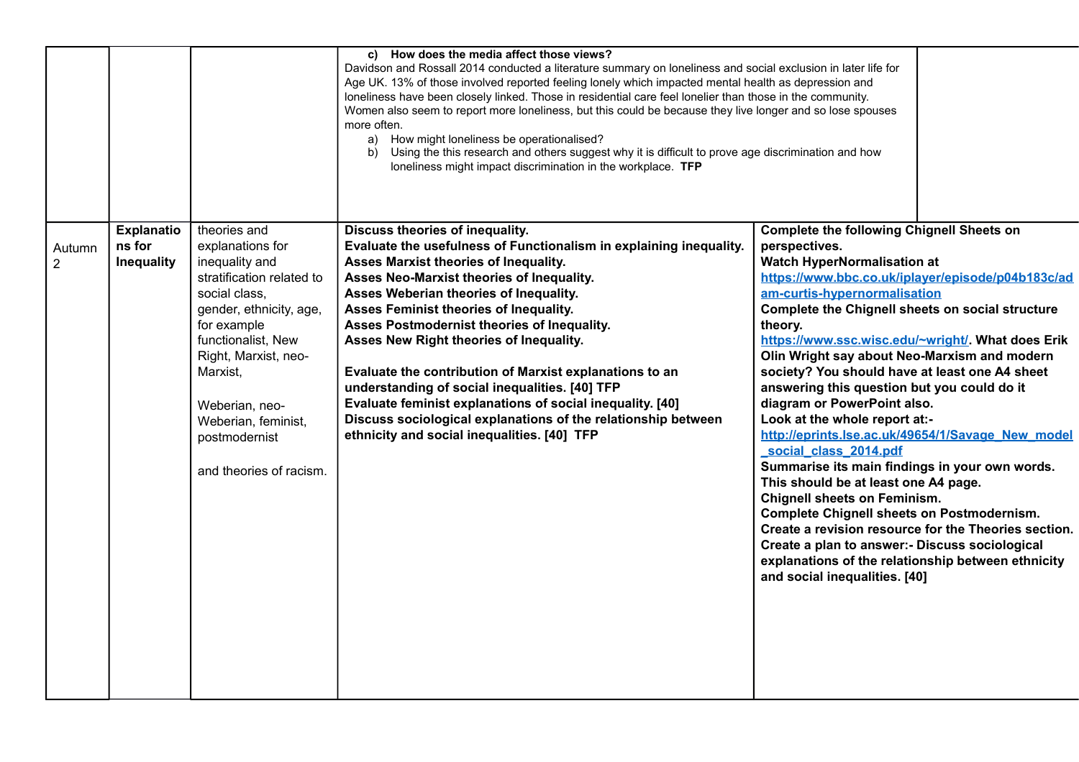|                          |                                                  |                                                                                                                                                                                                                                                                                           | c) How does the media affect those views?<br>Davidson and Rossall 2014 conducted a literature summary on loneliness and social exclusion in later life for<br>Age UK. 13% of those involved reported feeling lonely which impacted mental health as depression and<br>loneliness have been closely linked. Those in residential care feel lonelier than those in the community.<br>Women also seem to report more loneliness, but this could be because they live longer and so lose spouses<br>more often.<br>a) How might loneliness be operationalised?<br>b) Using the this research and others suggest why it is difficult to prove age discrimination and how<br>loneliness might impact discrimination in the workplace. TFP |                                                                                                                                                                                                                                                                                                                                                                                                                                                                                                                                                                                                                                                                                                                                                                                                                                                                                                                                                                                                        |
|--------------------------|--------------------------------------------------|-------------------------------------------------------------------------------------------------------------------------------------------------------------------------------------------------------------------------------------------------------------------------------------------|-------------------------------------------------------------------------------------------------------------------------------------------------------------------------------------------------------------------------------------------------------------------------------------------------------------------------------------------------------------------------------------------------------------------------------------------------------------------------------------------------------------------------------------------------------------------------------------------------------------------------------------------------------------------------------------------------------------------------------------|--------------------------------------------------------------------------------------------------------------------------------------------------------------------------------------------------------------------------------------------------------------------------------------------------------------------------------------------------------------------------------------------------------------------------------------------------------------------------------------------------------------------------------------------------------------------------------------------------------------------------------------------------------------------------------------------------------------------------------------------------------------------------------------------------------------------------------------------------------------------------------------------------------------------------------------------------------------------------------------------------------|
| Autumn<br>$\overline{2}$ | <b>Explanatio</b><br>ns for<br><b>Inequality</b> | theories and<br>explanations for<br>inequality and<br>stratification related to<br>social class,<br>gender, ethnicity, age,<br>for example<br>functionalist, New<br>Right, Marxist, neo-<br>Marxist,<br>Weberian, neo-<br>Weberian, feminist,<br>postmodernist<br>and theories of racism. | Discuss theories of inequality.<br>Evaluate the usefulness of Functionalism in explaining inequality.<br>Asses Marxist theories of Inequality.<br>Asses Neo-Marxist theories of Inequality.<br>Asses Weberian theories of Inequality.<br>Asses Feminist theories of Inequality.<br>Asses Postmodernist theories of Inequality.<br>Asses New Right theories of Inequality.<br>Evaluate the contribution of Marxist explanations to an<br>understanding of social inequalities. [40] TFP<br>Evaluate feminist explanations of social inequality. [40]<br>Discuss sociological explanations of the relationship between<br>ethnicity and social inequalities. [40] TFP                                                                 | <b>Complete the following Chignell Sheets on</b><br>perspectives.<br><b>Watch HyperNormalisation at</b><br>https://www.bbc.co.uk/iplayer/episode/p04b183c/ad<br>am-curtis-hypernormalisation<br>Complete the Chignell sheets on social structure<br>theory.<br>https://www.ssc.wisc.edu/~wright/. What does Erik<br>Olin Wright say about Neo-Marxism and modern<br>society? You should have at least one A4 sheet<br>answering this question but you could do it<br>diagram or PowerPoint also.<br>Look at the whole report at:-<br>http://eprints.lse.ac.uk/49654/1/Savage New model<br>social class 2014.pdf<br>Summarise its main findings in your own words.<br>This should be at least one A4 page.<br><b>Chignell sheets on Feminism.</b><br><b>Complete Chignell sheets on Postmodernism.</b><br>Create a revision resource for the Theories section.<br>Create a plan to answer:- Discuss sociological<br>explanations of the relationship between ethnicity<br>and social inequalities. [40] |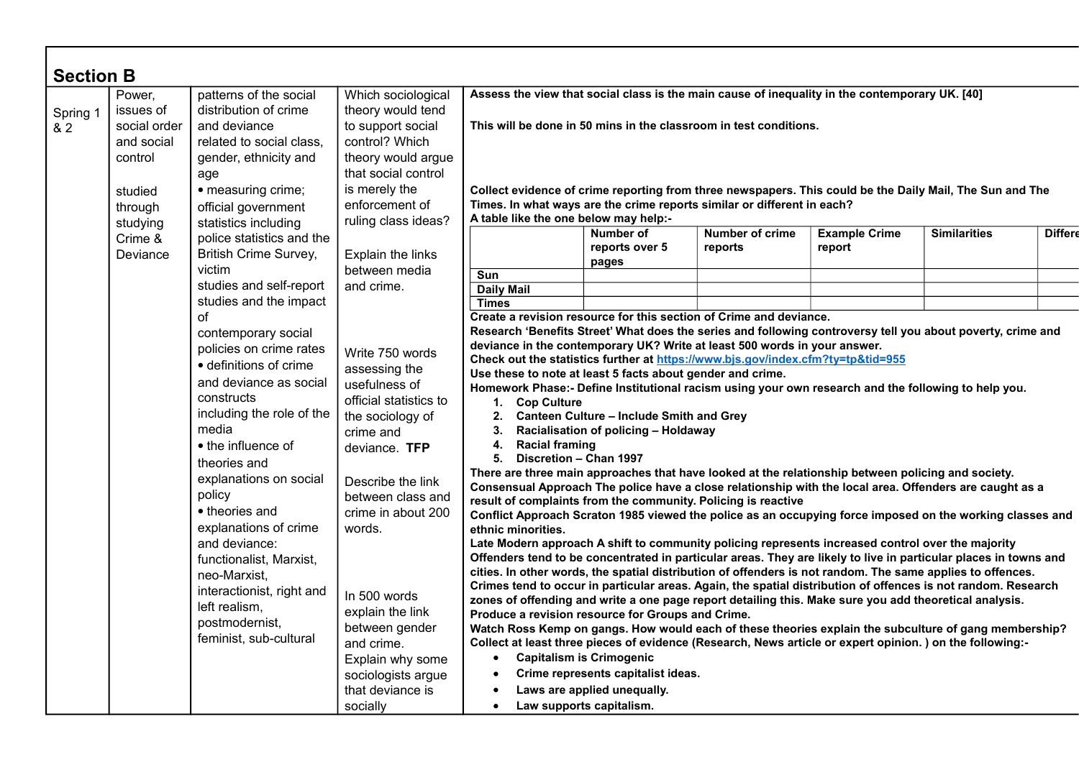| <b>Section B</b> |                                                                                                |                                                                                                                                                                                                                                                                                                                                                                                                                                                                                                                                                                                                                                                                                                                                                                                                  |                                                                                                                                                                                                                                                                                                                                                                                                                                                                                                                                                                                                                                                                                                                                                                                                                                                                                                                                                                                                                                                                                                                                                                                                                                                                                                                                                                                                                                                                                                                                                                                                                                                                                                                                                                                                                                                                                                                                                            |                                                                                                                                                                                                                                                                                                                                                            |                                      |                                   |                                |                     |                |
|------------------|------------------------------------------------------------------------------------------------|--------------------------------------------------------------------------------------------------------------------------------------------------------------------------------------------------------------------------------------------------------------------------------------------------------------------------------------------------------------------------------------------------------------------------------------------------------------------------------------------------------------------------------------------------------------------------------------------------------------------------------------------------------------------------------------------------------------------------------------------------------------------------------------------------|------------------------------------------------------------------------------------------------------------------------------------------------------------------------------------------------------------------------------------------------------------------------------------------------------------------------------------------------------------------------------------------------------------------------------------------------------------------------------------------------------------------------------------------------------------------------------------------------------------------------------------------------------------------------------------------------------------------------------------------------------------------------------------------------------------------------------------------------------------------------------------------------------------------------------------------------------------------------------------------------------------------------------------------------------------------------------------------------------------------------------------------------------------------------------------------------------------------------------------------------------------------------------------------------------------------------------------------------------------------------------------------------------------------------------------------------------------------------------------------------------------------------------------------------------------------------------------------------------------------------------------------------------------------------------------------------------------------------------------------------------------------------------------------------------------------------------------------------------------------------------------------------------------------------------------------------------------|------------------------------------------------------------------------------------------------------------------------------------------------------------------------------------------------------------------------------------------------------------------------------------------------------------------------------------------------------------|--------------------------------------|-----------------------------------|--------------------------------|---------------------|----------------|
| Spring 1<br>& 2  | Power,<br>issues of<br>social order<br>and social<br>control<br>studied<br>through<br>studying | patterns of the social<br>distribution of crime<br>and deviance<br>related to social class,<br>gender, ethnicity and<br>age<br>• measuring crime;<br>official government<br>statistics including                                                                                                                                                                                                                                                                                                                                                                                                                                                                                                                                                                                                 | Which sociological<br>theory would tend<br>to support social<br>control? Which<br>theory would argue<br>that social control<br>is merely the<br>enforcement of<br>ruling class ideas?                                                                                                                                                                                                                                                                                                                                                                                                                                                                                                                                                                                                                                                                                                                                                                                                                                                                                                                                                                                                                                                                                                                                                                                                                                                                                                                                                                                                                                                                                                                                                                                                                                                                                                                                                                      | Assess the view that social class is the main cause of inequality in the contemporary UK. [40]<br>This will be done in 50 mins in the classroom in test conditions.<br>Collect evidence of crime reporting from three newspapers. This could be the Daily Mail, The Sun and The<br>Times. In what ways are the crime reports similar or different in each? |                                      |                                   |                                |                     |                |
|                  |                                                                                                |                                                                                                                                                                                                                                                                                                                                                                                                                                                                                                                                                                                                                                                                                                                                                                                                  |                                                                                                                                                                                                                                                                                                                                                                                                                                                                                                                                                                                                                                                                                                                                                                                                                                                                                                                                                                                                                                                                                                                                                                                                                                                                                                                                                                                                                                                                                                                                                                                                                                                                                                                                                                                                                                                                                                                                                            | A table like the one below may help:-                                                                                                                                                                                                                                                                                                                      |                                      |                                   |                                |                     |                |
|                  | Crime &<br>Deviance                                                                            | police statistics and the<br><b>British Crime Survey,</b>                                                                                                                                                                                                                                                                                                                                                                                                                                                                                                                                                                                                                                                                                                                                        | Explain the links                                                                                                                                                                                                                                                                                                                                                                                                                                                                                                                                                                                                                                                                                                                                                                                                                                                                                                                                                                                                                                                                                                                                                                                                                                                                                                                                                                                                                                                                                                                                                                                                                                                                                                                                                                                                                                                                                                                                          |                                                                                                                                                                                                                                                                                                                                                            | Number of<br>reports over 5<br>pages | <b>Number of crime</b><br>reports | <b>Example Crime</b><br>report | <b>Similarities</b> | <b>Differd</b> |
|                  |                                                                                                | victim                                                                                                                                                                                                                                                                                                                                                                                                                                                                                                                                                                                                                                                                                                                                                                                           | between media                                                                                                                                                                                                                                                                                                                                                                                                                                                                                                                                                                                                                                                                                                                                                                                                                                                                                                                                                                                                                                                                                                                                                                                                                                                                                                                                                                                                                                                                                                                                                                                                                                                                                                                                                                                                                                                                                                                                              | Sun                                                                                                                                                                                                                                                                                                                                                        |                                      |                                   |                                |                     |                |
|                  |                                                                                                | studies and self-report                                                                                                                                                                                                                                                                                                                                                                                                                                                                                                                                                                                                                                                                                                                                                                          | and crime.                                                                                                                                                                                                                                                                                                                                                                                                                                                                                                                                                                                                                                                                                                                                                                                                                                                                                                                                                                                                                                                                                                                                                                                                                                                                                                                                                                                                                                                                                                                                                                                                                                                                                                                                                                                                                                                                                                                                                 | <b>Daily Mail</b>                                                                                                                                                                                                                                                                                                                                          |                                      |                                   |                                |                     |                |
|                  |                                                                                                | studies and the impact                                                                                                                                                                                                                                                                                                                                                                                                                                                                                                                                                                                                                                                                                                                                                                           |                                                                                                                                                                                                                                                                                                                                                                                                                                                                                                                                                                                                                                                                                                                                                                                                                                                                                                                                                                                                                                                                                                                                                                                                                                                                                                                                                                                                                                                                                                                                                                                                                                                                                                                                                                                                                                                                                                                                                            | <b>Times</b>                                                                                                                                                                                                                                                                                                                                               |                                      |                                   |                                |                     |                |
|                  |                                                                                                | оf<br>contemporary social<br>policies on crime rates<br>Write 750 words<br>· definitions of crime<br>assessing the<br>and deviance as social<br>usefulness of<br>constructs<br>official statistics to<br>including the role of the<br>the sociology of<br>media<br>crime and<br>• the influence of<br>deviance. TFP<br>theories and<br>explanations on social<br>Describe the link<br>policy<br>between class and<br>• theories and<br>crime in about 200<br>explanations of crime<br>words.<br>and deviance:<br>functionalist, Marxist,<br>neo-Marxist,<br>interactionist, right and<br>In 500 words<br>left realism.<br>explain the link<br>postmodernist,<br>between gender<br>feminist, sub-cultural<br>and crime.<br>Explain why some<br>sociologists argue<br>that deviance is<br>socially | Create a revision resource for this section of Crime and deviance.<br>Research 'Benefits Street' What does the series and following controversy tell you about poverty, crime and<br>deviance in the contemporary UK? Write at least 500 words in your answer.<br>Check out the statistics further at https://www.bjs.gov/index.cfm?ty=tp&tid=955<br>Use these to note at least 5 facts about gender and crime.<br>Homework Phase:- Define Institutional racism using your own research and the following to help you.<br>1. Cop Culture<br>3.<br><b>Racial framing</b><br>4.<br>Discretion - Chan 1997<br>5.<br>There are three main approaches that have looked at the relationship between policing and society.<br>Consensual Approach The police have a close relationship with the local area. Offenders are caught as a<br>result of complaints from the community. Policing is reactive<br>Conflict Approach Scraton 1985 viewed the police as an occupying force imposed on the working classes and<br>ethnic minorities.<br>Late Modern approach A shift to community policing represents increased control over the majority<br>Offenders tend to be concentrated in particular areas. They are likely to live in particular places in towns and<br>cities. In other words, the spatial distribution of offenders is not random. The same applies to offences.<br>Crimes tend to occur in particular areas. Again, the spatial distribution of offences is not random. Research<br>zones of offending and write a one page report detailing this. Make sure you add theoretical analysis.<br>Produce a revision resource for Groups and Crime.<br>Watch Ross Kemp on gangs. How would each of these theories explain the subculture of gang membership?<br>Collect at least three pieces of evidence (Research, News article or expert opinion.) on the following:-<br><b>Capitalism is Crimogenic</b><br>Law supports capitalism.<br>$\bullet$ | 2. Canteen Culture - Include Smith and Grey<br>Racialisation of policing - Holdaway<br>Crime represents capitalist ideas.<br>Laws are applied unequally.                                                                                                                                                                                                   |                                      |                                   |                                |                     |                |

Г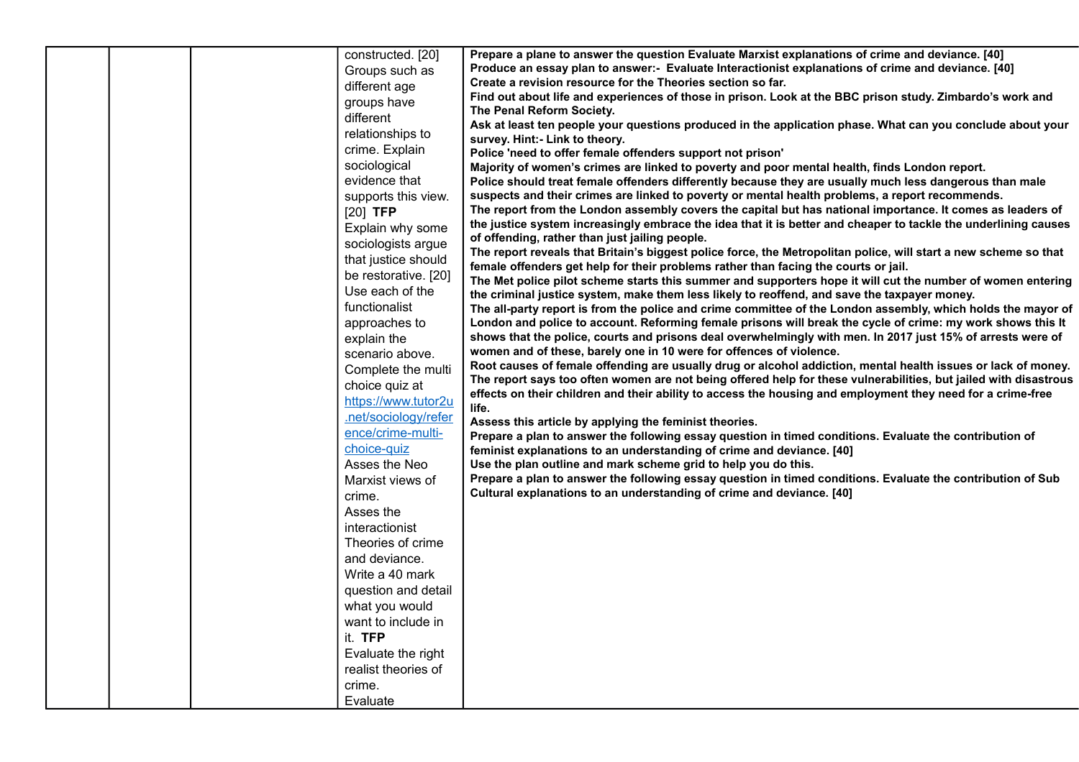|  | constructed. [20]    | Prepare a plane to answer the question Evaluate Marxist explanations of crime and deviance. [40]                                                                                                                           |
|--|----------------------|----------------------------------------------------------------------------------------------------------------------------------------------------------------------------------------------------------------------------|
|  | Groups such as       | Produce an essay plan to answer:- Evaluate Interactionist explanations of crime and deviance. [40]                                                                                                                         |
|  | different age        | Create a revision resource for the Theories section so far.                                                                                                                                                                |
|  | groups have          | Find out about life and experiences of those in prison. Look at the BBC prison study. Zimbardo's work and                                                                                                                  |
|  | different            | The Penal Reform Society.                                                                                                                                                                                                  |
|  | relationships to     | Ask at least ten people your questions produced in the application phase. What can you conclude about your                                                                                                                 |
|  | crime. Explain       | survey. Hint:- Link to theory.<br>Police 'need to offer female offenders support not prison'                                                                                                                               |
|  | sociological         | Majority of women's crimes are linked to poverty and poor mental health, finds London report.                                                                                                                              |
|  | evidence that        | Police should treat female offenders differently because they are usually much less dangerous than male                                                                                                                    |
|  | supports this view.  | suspects and their crimes are linked to poverty or mental health problems, a report recommends.                                                                                                                            |
|  | $[20]$ TFP           | The report from the London assembly covers the capital but has national importance. It comes as leaders of                                                                                                                 |
|  | Explain why some     | the justice system increasingly embrace the idea that it is better and cheaper to tackle the underlining causes                                                                                                            |
|  | sociologists argue   | of offending, rather than just jailing people.                                                                                                                                                                             |
|  | that justice should  | The report reveals that Britain's biggest police force, the Metropolitan police, will start a new scheme so that                                                                                                           |
|  | be restorative. [20] | female offenders get help for their problems rather than facing the courts or jail.                                                                                                                                        |
|  | Use each of the      | The Met police pilot scheme starts this summer and supporters hope it will cut the number of women entering                                                                                                                |
|  | functionalist        | the criminal justice system, make them less likely to reoffend, and save the taxpayer money.                                                                                                                               |
|  |                      | The all-party report is from the police and crime committee of the London assembly, which holds the mayor of                                                                                                               |
|  | approaches to        | London and police to account. Reforming female prisons will break the cycle of crime: my work shows this It<br>shows that the police, courts and prisons deal overwhelmingly with men. In 2017 just 15% of arrests were of |
|  | explain the          | women and of these, barely one in 10 were for offences of violence.                                                                                                                                                        |
|  | scenario above.      | Root causes of female offending are usually drug or alcohol addiction, mental health issues or lack of money.                                                                                                              |
|  | Complete the multi   | The report says too often women are not being offered help for these vulnerabilities, but jailed with disastrous                                                                                                           |
|  | choice quiz at       | effects on their children and their ability to access the housing and employment they need for a crime-free                                                                                                                |
|  | https://www.tutor2u  | life.                                                                                                                                                                                                                      |
|  | .net/sociology/refer | Assess this article by applying the feminist theories.                                                                                                                                                                     |
|  | ence/crime-multi-    | Prepare a plan to answer the following essay question in timed conditions. Evaluate the contribution of                                                                                                                    |
|  | choice-quiz          | feminist explanations to an understanding of crime and deviance. [40]                                                                                                                                                      |
|  | Asses the Neo        | Use the plan outline and mark scheme grid to help you do this.                                                                                                                                                             |
|  | Marxist views of     | Prepare a plan to answer the following essay question in timed conditions. Evaluate the contribution of Sub                                                                                                                |
|  | crime.               | Cultural explanations to an understanding of crime and deviance. [40]                                                                                                                                                      |
|  | Asses the            |                                                                                                                                                                                                                            |
|  | interactionist       |                                                                                                                                                                                                                            |
|  | Theories of crime    |                                                                                                                                                                                                                            |
|  | and deviance.        |                                                                                                                                                                                                                            |
|  | Write a 40 mark      |                                                                                                                                                                                                                            |
|  | question and detail  |                                                                                                                                                                                                                            |
|  | what you would       |                                                                                                                                                                                                                            |
|  | want to include in   |                                                                                                                                                                                                                            |
|  | it. TFP              |                                                                                                                                                                                                                            |
|  | Evaluate the right   |                                                                                                                                                                                                                            |
|  | realist theories of  |                                                                                                                                                                                                                            |
|  | crime.               |                                                                                                                                                                                                                            |
|  | Evaluate             |                                                                                                                                                                                                                            |
|  |                      |                                                                                                                                                                                                                            |